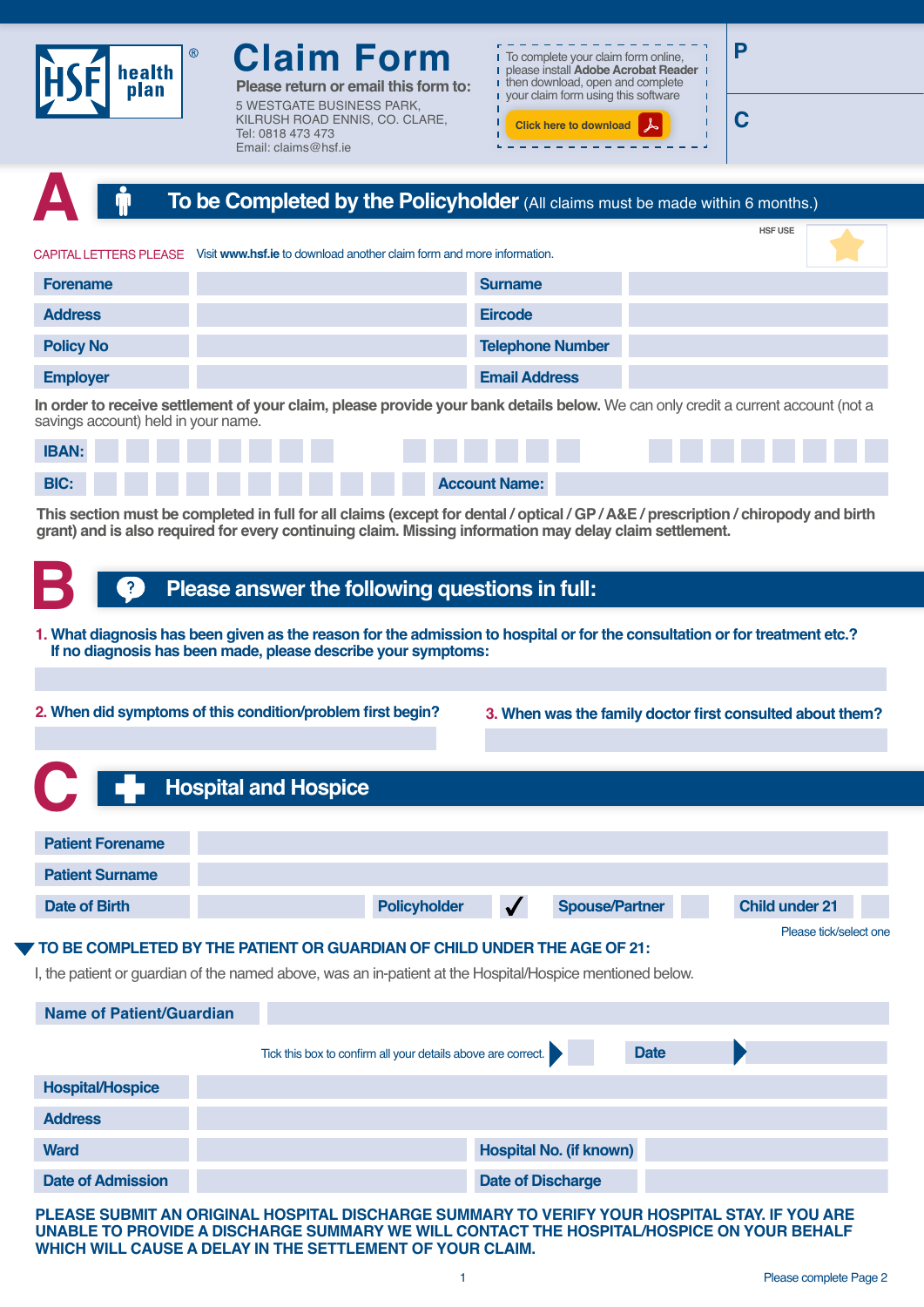

**Please return or email this form to:** 5 WESTGATE BUSINESS PARK, KILRUSH ROAD ENNIS, CO. CLARE, Tel: 0818 473 473 Email: claims@hsf.ie



. . . . . . . . . . . . .

**C**

|                                     | To be Completed by the Policyholder (All claims must be made within 6 months.)                                                                                                                                                                |                         |                |
|-------------------------------------|-----------------------------------------------------------------------------------------------------------------------------------------------------------------------------------------------------------------------------------------------|-------------------------|----------------|
|                                     |                                                                                                                                                                                                                                               |                         | <b>HSF USE</b> |
|                                     | CAPITAL LETTERS PLEASE Visit www.hsf.ie to download another claim form and more information.                                                                                                                                                  |                         |                |
| <b>Forename</b>                     |                                                                                                                                                                                                                                               | <b>Surname</b>          |                |
| <b>Address</b>                      |                                                                                                                                                                                                                                               | <b>Eircode</b>          |                |
| <b>Policy No</b>                    |                                                                                                                                                                                                                                               | <b>Telephone Number</b> |                |
| <b>Employer</b>                     |                                                                                                                                                                                                                                               | <b>Email Address</b>    |                |
| savings account) held in your name. | In order to receive settlement of your claim, please provide your bank details below. We can only credit a current account (not a                                                                                                             |                         |                |
| <b>IBAN:</b>                        |                                                                                                                                                                                                                                               |                         |                |
| <b>BIC:</b>                         |                                                                                                                                                                                                                                               | <b>Account Name:</b>    |                |
|                                     | This section must be completed in full for all claims (except for dental / optical / GP / A&E / prescription / chiropody and birth<br>grant) and is also required for every continuing claim. Missing information may delay claim settlement. |                         |                |
|                                     | Please answer the following questions in full:                                                                                                                                                                                                |                         |                |
|                                     | 1. What diagnosis has been given as the reason for the admission to hospital or for the consultation or for treatment etc.?<br>If no diagnosis has been made, please describe your symptoms:                                                  |                         |                |
|                                     |                                                                                                                                                                                                                                               |                         |                |

**2. When did symptoms of this condition/problem first begin? 3. When was the family doctor first consulted about them?** 

|             |                                                                                                           | <b>Example:</b> Hospital and Hospice |                                                              |                                |                       |                        |
|-------------|-----------------------------------------------------------------------------------------------------------|--------------------------------------|--------------------------------------------------------------|--------------------------------|-----------------------|------------------------|
|             |                                                                                                           |                                      |                                                              |                                |                       |                        |
|             | <b>Patient Forename</b>                                                                                   |                                      |                                                              |                                |                       |                        |
|             | <b>Patient Surname</b>                                                                                    |                                      |                                                              |                                |                       |                        |
|             | <b>Date of Birth</b>                                                                                      |                                      | <b>Policyholder</b>                                          |                                | <b>Spouse/Partner</b> | <b>Child under 21</b>  |
|             |                                                                                                           |                                      |                                                              |                                |                       | Please tick/select one |
|             | TO BE COMPLETED BY THE PATIENT OR GUARDIAN OF CHILD UNDER THE AGE OF 21:                                  |                                      |                                                              |                                |                       |                        |
|             | I, the patient or guardian of the named above, was an in-patient at the Hospital/Hospice mentioned below. |                                      |                                                              |                                |                       |                        |
|             | <b>Name of Patient/Guardian</b>                                                                           |                                      |                                                              |                                |                       |                        |
|             |                                                                                                           |                                      | Tick this box to confirm all your details above are correct. |                                | <b>Date</b>           |                        |
|             |                                                                                                           |                                      |                                                              |                                |                       |                        |
|             | <b>Hospital/Hospice</b>                                                                                   |                                      |                                                              |                                |                       |                        |
|             | <b>Address</b>                                                                                            |                                      |                                                              |                                |                       |                        |
| <b>Ward</b> |                                                                                                           |                                      |                                                              | <b>Hospital No. (if known)</b> |                       |                        |
|             | <b>Date of Admission</b>                                                                                  |                                      |                                                              | <b>Date of Discharge</b>       |                       |                        |

**PLEASE SUBMIT AN ORIGINAL HOSPITAL DISCHARGE SUMMARY TO VERIFY YOUR HOSPITAL STAY. IF YOU ARE UNABLE TO PROVIDE A DISCHARGE SUMMARY WE WILL CONTACT THE HOSPITAL/HOSPICE ON YOUR BEHALF WHICH WILL CAUSE A DELAY IN THE SETTLEMENT OF YOUR CLAIM.**